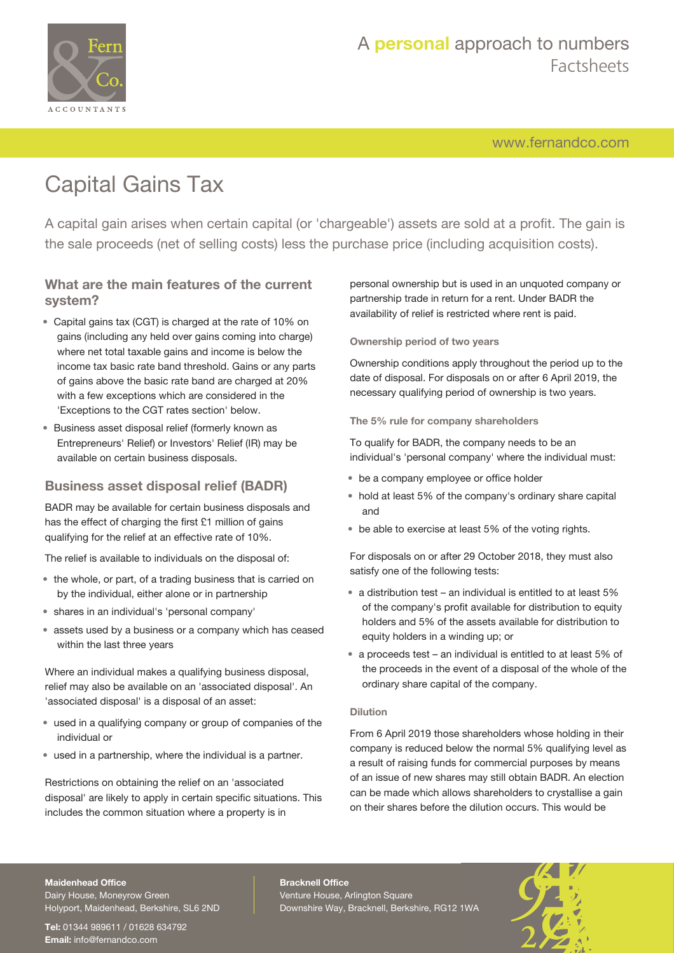

## A **personal** approach to numbers Factsheets

[www.fernandco.com](http://www.fernandco.com)

# Capital Gains Tax

A capital gain arises when certain capital (or 'chargeable') assets are sold at a profit. The gain is the sale proceeds (net of selling costs) less the purchase price (including acquisition costs).

## **What are the main features of the current system?**

- Capital gains tax (CGT) is charged at the rate of 10% on gains (including any held over gains coming into charge) where net total taxable gains and income is below the income tax basic rate band threshold. Gains or any parts of gains above the basic rate band are charged at 20% with a few exceptions which are considered in the 'Exceptions to the CGT rates section' below.
- Business asset disposal relief (formerly known as Entrepreneurs' Relief) or Investors' Relief (IR) may be available on certain business disposals.

## **Business asset disposal relief (BADR)**

BADR may be available for certain business disposals and has the effect of charging the first £1 million of gains qualifying for the relief at an effective rate of 10%.

The relief is available to individuals on the disposal of:

- the whole, or part, of a trading business that is carried on by the individual, either alone or in partnership
- shares in an individual's 'personal company'
- assets used by a business or a company which has ceased within the last three years

Where an individual makes a qualifying business disposal, relief may also be available on an 'associated disposal'. An 'associated disposal' is a disposal of an asset:

- used in a qualifying company or group of companies of the individual or
- used in a partnership, where the individual is a partner.

Restrictions on obtaining the relief on an 'associated disposal' are likely to apply in certain specific situations. This includes the common situation where a property is in

personal ownership but is used in an unquoted company or partnership trade in return for a rent. Under BADR the availability of relief is restricted where rent is paid.

#### **Ownership period of two years**

Ownership conditions apply throughout the period up to the date of disposal. For disposals on or after 6 April 2019, the necessary qualifying period of ownership is two years.

#### **The 5% rule for company shareholders**

To qualify for BADR, the company needs to be an individual's 'personal company' where the individual must:

- be a company employee or office holder
- hold at least 5% of the company's ordinary share capital and
- be able to exercise at least 5% of the voting rights.

For disposals on or after 29 October 2018, they must also satisfy one of the following tests:

- a distribution test an individual is entitled to at least 5% of the company's profit available for distribution to equity holders and 5% of the assets available for distribution to equity holders in a winding up; or
- a proceeds test an individual is entitled to at least 5% of the proceeds in the event of a disposal of the whole of the ordinary share capital of the company.

#### **Dilution**

From 6 April 2019 those shareholders whose holding in their company is reduced below the normal 5% qualifying level as a result of raising funds for commercial purposes by means of an issue of new shares may still obtain BADR. An election can be made which allows shareholders to crystallise a gain on their shares before the dilution occurs. This would be

#### **Maidenhead Office**

Dairy House, Moneyrow Green Holyport, Maidenhead, Berkshire, SL6 2ND

**Tel:** 01344 989611 / 01628 634792 **Email:** [info@fernandco.com](mailto:info@fernandco.com)

**Bracknell Office** Venture House, Arlington Square Downshire Way, Bracknell, Berkshire, RG12 1WA

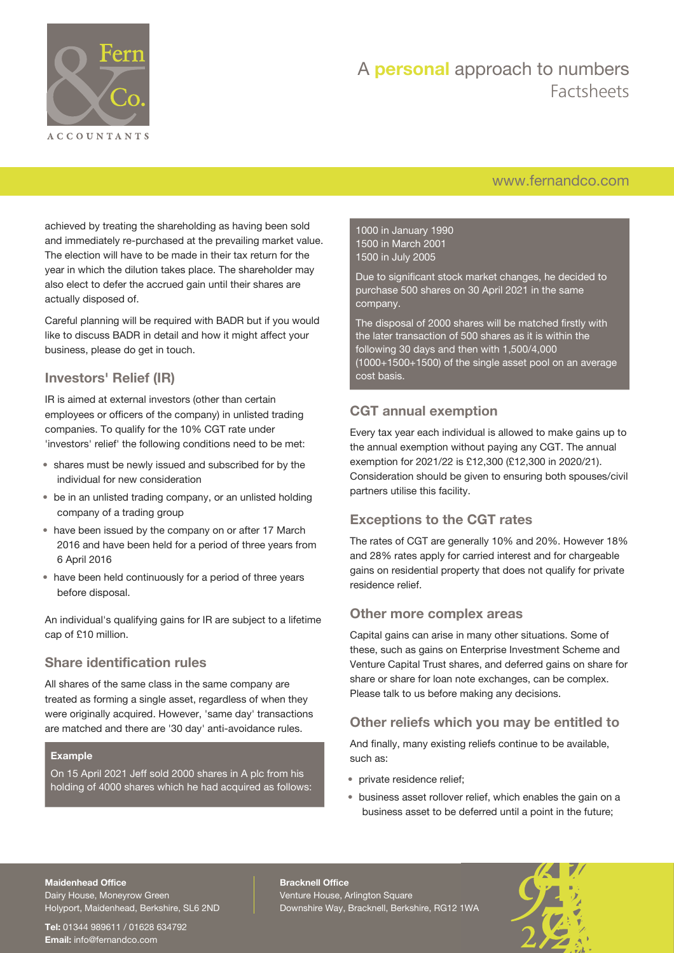

## A **personal** approach to numbers Factsheets

## [www.fernandco.com](http://www.fernandco.com)

achieved by treating the shareholding as having been sold and immediately re-purchased at the prevailing market value. The election will have to be made in their tax return for the year in which the dilution takes place. The shareholder may also elect to defer the accrued gain until their shares are actually disposed of.

Careful planning will be required with BADR but if you would like to discuss BADR in detail and how it might affect your business, please do get in touch.

## **Investors' Relief (IR)**

IR is aimed at external investors (other than certain employees or officers of the company) in unlisted trading companies. To qualify for the 10% CGT rate under 'investors' relief' the following conditions need to be met:

- shares must be newly issued and subscribed for by the individual for new consideration
- be in an unlisted trading company, or an unlisted holding company of a trading group
- have been issued by the company on or after 17 March 2016 and have been held for a period of three years from 6 April 2016
- have been held continuously for a period of three years before disposal.

An individual's qualifying gains for IR are subject to a lifetime cap of £10 million.

## **Share identification rules**

All shares of the same class in the same company are treated as forming a single asset, regardless of when they were originally acquired. However, 'same day' transactions are matched and there are '30 day' anti-avoidance rules.

#### **Example**

On 15 April 2021 Jeff sold 2000 shares in A plc from his holding of 4000 shares which he had acquired as follows: 1000 in January 1990 1500 in March 2001 1500 in July 2005

Due to significant stock market changes, he decided to purchase 500 shares on 30 April 2021 in the same company.

The disposal of 2000 shares will be matched firstly with the later transaction of 500 shares as it is within the following 30 days and then with 1,500/4,000 (1000+1500+1500) of the single asset pool on an average cost basis.

## **CGT annual exemption**

Every tax year each individual is allowed to make gains up to the annual exemption without paying any CGT. The annual exemption for 2021/22 is £12,300 (£12,300 in 2020/21). Consideration should be given to ensuring both spouses/civil partners utilise this facility.

## **Exceptions to the CGT rates**

The rates of CGT are generally 10% and 20%. However 18% and 28% rates apply for carried interest and for chargeable gains on residential property that does not qualify for private residence relief.

### **Other more complex areas**

Capital gains can arise in many other situations. Some of these, such as gains on Enterprise Investment Scheme and Venture Capital Trust shares, and deferred gains on share for share or share for loan note exchanges, can be complex. Please talk to us before making any decisions.

## **Other reliefs which you may be entitled to**

And finally, many existing reliefs continue to be available, such as:

- private residence relief;
- business asset rollover relief, which enables the gain on a business asset to be deferred until a point in the future;

#### **Maidenhead Office**

Dairy House, Moneyrow Green Holyport, Maidenhead, Berkshire, SL6 2ND

**Tel:** 01344 989611 / 01628 634792 **Email:** [info@fernandco.com](mailto:info@fernandco.com)

**Bracknell Office** Venture House, Arlington Square Downshire Way, Bracknell, Berkshire, RG12 1WA